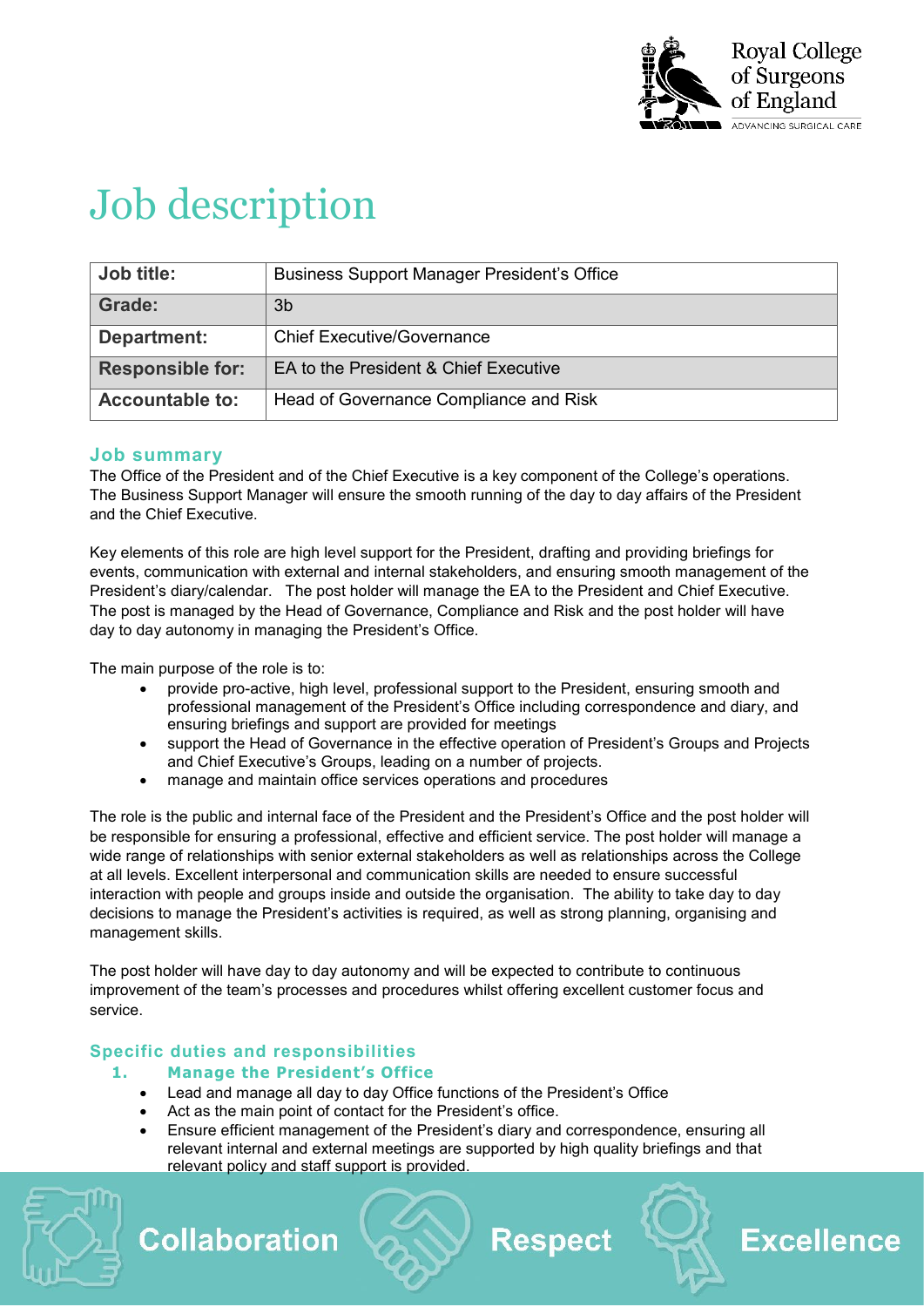

# Job description

| Job title:              | <b>Business Support Manager President's Office</b> |
|-------------------------|----------------------------------------------------|
| Grade:                  | 3b                                                 |
| Department:             | <b>Chief Executive/Governance</b>                  |
| <b>Responsible for:</b> | EA to the President & Chief Executive              |
| <b>Accountable to:</b>  | Head of Governance Compliance and Risk             |

### **Job summary**

The Office of the President and of the Chief Executive is a key component of the College's operations. The Business Support Manager will ensure the smooth running of the day to day affairs of the President and the Chief Executive.

Key elements of this role are high level support for the President, drafting and providing briefings for events, communication with external and internal stakeholders, and ensuring smooth management of the President's diary/calendar. The post holder will manage the EA to the President and Chief Executive. The post is managed by the Head of Governance, Compliance and Risk and the post holder will have day to day autonomy in managing the President's Office.

The main purpose of the role is to:

- provide pro-active, high level, professional support to the President, ensuring smooth and professional management of the President's Office including correspondence and diary, and ensuring briefings and support are provided for meetings
- support the Head of Governance in the effective operation of President's Groups and Projects and Chief Executive's Groups, leading on a number of projects.
- manage and maintain office services operations and procedures

The role is the public and internal face of the President and the President's Office and the post holder will be responsible for ensuring a professional, effective and efficient service. The post holder will manage a wide range of relationships with senior external stakeholders as well as relationships across the College at all levels. Excellent interpersonal and communication skills are needed to ensure successful interaction with people and groups inside and outside the organisation. The ability to take day to day decisions to manage the President's activities is required, as well as strong planning, organising and management skills.

The post holder will have day to day autonomy and will be expected to contribute to continuous improvement of the team's processes and procedures whilst offering excellent customer focus and service.

## **Specific duties and responsibilities**

### **1. Manage the President's Office**

- Lead and manage all day to day Office functions of the President's Office
- Act as the main point of contact for the President's office.
- Ensure efficient management of the President's diary and correspondence, ensuring all relevant internal and external meetings are supported by high quality briefings and that relevant policy and staff support is provided.



**Collaboration** 

# **Respect**

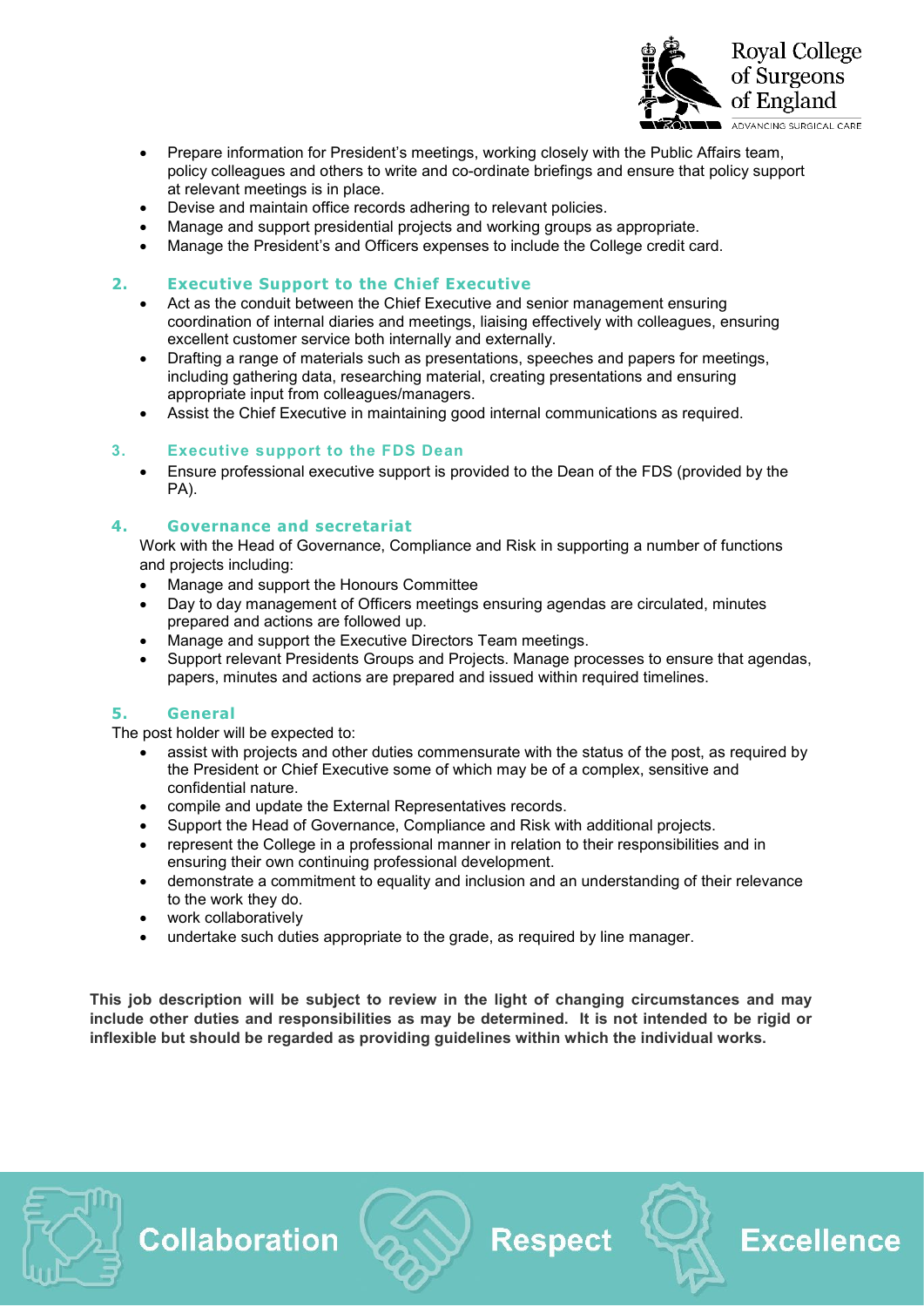

- Prepare information for President's meetings, working closely with the Public Affairs team, policy colleagues and others to write and co-ordinate briefings and ensure that policy support at relevant meetings is in place.
- Devise and maintain office records adhering to relevant policies.
- Manage and support presidential projects and working groups as appropriate.
- Manage the President's and Officers expenses to include the College credit card.

#### **2. Executive Support to the Chief Executive**

- Act as the conduit between the Chief Executive and senior management ensuring coordination of internal diaries and meetings, liaising effectively with colleagues, ensuring excellent customer service both internally and externally.
- Drafting a range of materials such as presentations, speeches and papers for meetings, including gathering data, researching material, creating presentations and ensuring appropriate input from colleagues/managers.
- Assist the Chief Executive in maintaining good internal communications as required.

#### **3. Executive support to the FDS Dean**

• Ensure professional executive support is provided to the Dean of the FDS (provided by the PA).

#### **4. Governance and secretariat**

Work with the Head of Governance, Compliance and Risk in supporting a number of functions and projects including:

- Manage and support the Honours Committee
- Day to day management of Officers meetings ensuring agendas are circulated, minutes prepared and actions are followed up.
- Manage and support the Executive Directors Team meetings.
- Support relevant Presidents Groups and Projects. Manage processes to ensure that agendas, papers, minutes and actions are prepared and issued within required timelines.

#### **5. General**

The post holder will be expected to:

- assist with projects and other duties commensurate with the status of the post, as required by the President or Chief Executive some of which may be of a complex, sensitive and confidential nature.
- compile and update the External Representatives records.
- Support the Head of Governance, Compliance and Risk with additional projects.
- represent the College in a professional manner in relation to their responsibilities and in ensuring their own continuing professional development.
- demonstrate a commitment to equality and inclusion and an understanding of their relevance to the work they do.
- work collaboratively

**Collaboration** 

• undertake such duties appropriate to the grade, as required by line manager.

**This job description will be subject to review in the light of changing circumstances and may include other duties and responsibilities as may be determined. It is not intended to be rigid or inflexible but should be regarded as providing guidelines within which the individual works.**

**Respect** 

**Excellence**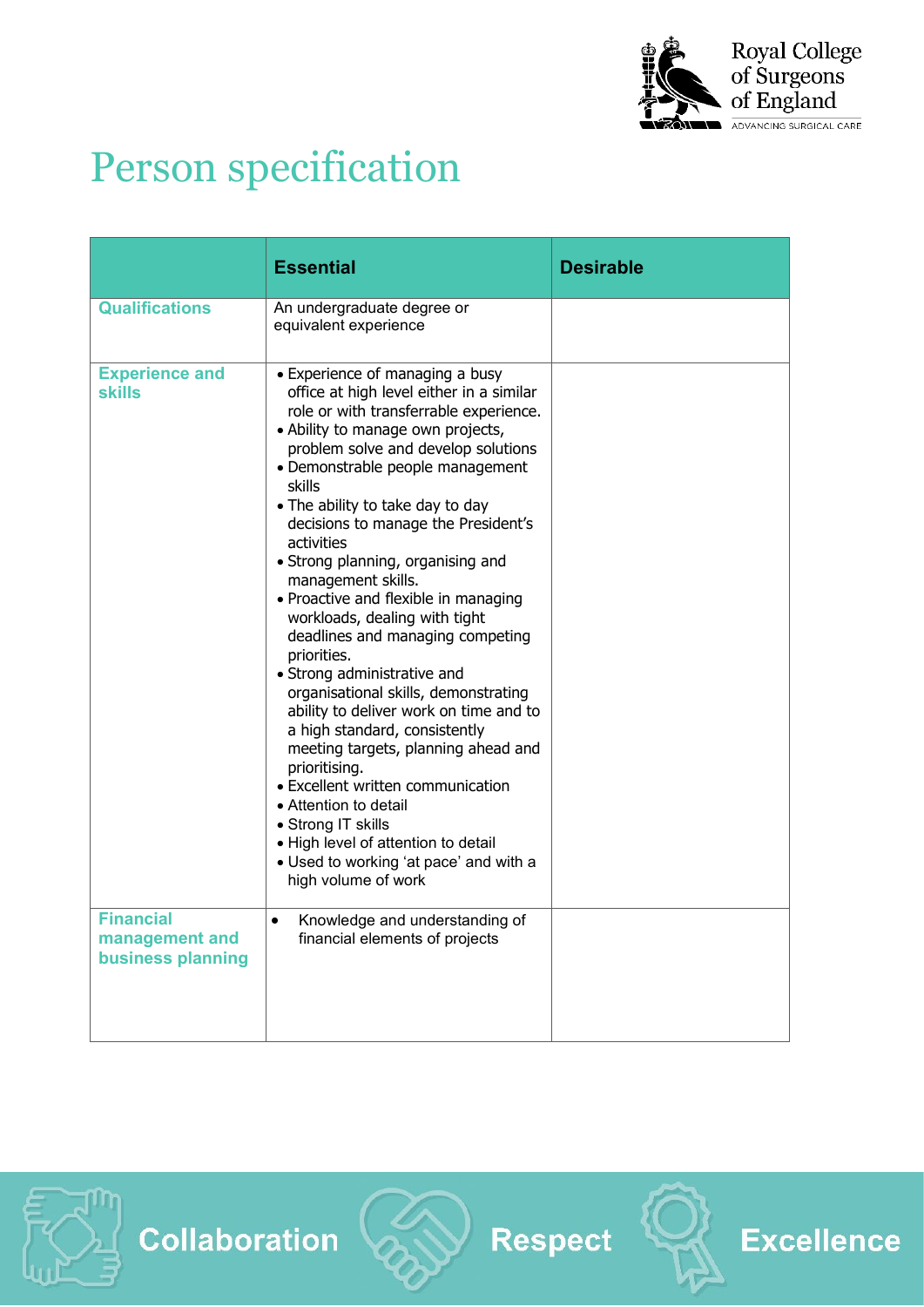

# Person specification

|                                                         | <b>Essential</b>                                                                                                                                                                                                                                                                                                                                                                                                                                                                                                                                                                                                                                                                                                                                                                                                                                                                                                                      | <b>Desirable</b> |
|---------------------------------------------------------|---------------------------------------------------------------------------------------------------------------------------------------------------------------------------------------------------------------------------------------------------------------------------------------------------------------------------------------------------------------------------------------------------------------------------------------------------------------------------------------------------------------------------------------------------------------------------------------------------------------------------------------------------------------------------------------------------------------------------------------------------------------------------------------------------------------------------------------------------------------------------------------------------------------------------------------|------------------|
| <b>Qualifications</b>                                   | An undergraduate degree or<br>equivalent experience                                                                                                                                                                                                                                                                                                                                                                                                                                                                                                                                                                                                                                                                                                                                                                                                                                                                                   |                  |
| <b>Experience and</b><br>skills                         | • Experience of managing a busy<br>office at high level either in a similar<br>role or with transferrable experience.<br>• Ability to manage own projects,<br>problem solve and develop solutions<br>· Demonstrable people management<br>skills<br>• The ability to take day to day<br>decisions to manage the President's<br>activities<br>• Strong planning, organising and<br>management skills.<br>• Proactive and flexible in managing<br>workloads, dealing with tight<br>deadlines and managing competing<br>priorities.<br>• Strong administrative and<br>organisational skills, demonstrating<br>ability to deliver work on time and to<br>a high standard, consistently<br>meeting targets, planning ahead and<br>prioritising.<br>• Excellent written communication<br>• Attention to detail<br>• Strong IT skills<br>. High level of attention to detail<br>• Used to working 'at pace' and with a<br>high volume of work |                  |
| <b>Financial</b><br>management and<br>business planning | Knowledge and understanding of<br>$\bullet$<br>financial elements of projects                                                                                                                                                                                                                                                                                                                                                                                                                                                                                                                                                                                                                                                                                                                                                                                                                                                         |                  |





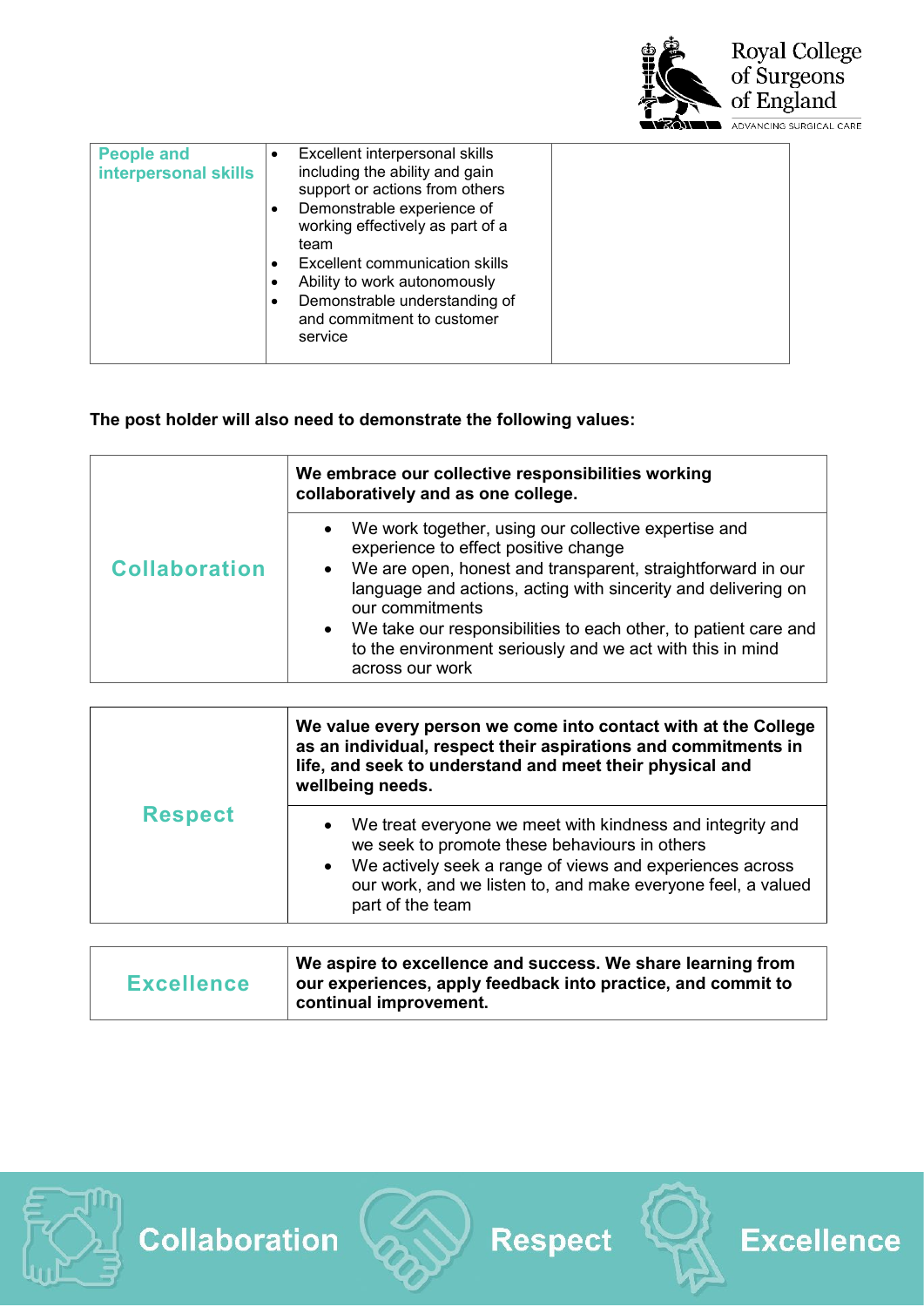

| <b>People and</b><br>interpersonal skills | Excellent interpersonal skills<br>including the ability and gain<br>support or actions from others<br>Demonstrable experience of<br>$\bullet$<br>working effectively as part of a<br>team<br>Excellent communication skills<br>Ability to work autonomously<br>Demonstrable understanding of<br>$\bullet$<br>and commitment to customer<br>service |  |
|-------------------------------------------|----------------------------------------------------------------------------------------------------------------------------------------------------------------------------------------------------------------------------------------------------------------------------------------------------------------------------------------------------|--|
|                                           |                                                                                                                                                                                                                                                                                                                                                    |  |

# **The post holder will also need to demonstrate the following values:**

|                      | We embrace our collective responsibilities working<br>collaboratively and as one college.                                                       |  |
|----------------------|-------------------------------------------------------------------------------------------------------------------------------------------------|--|
|                      | We work together, using our collective expertise and<br>experience to effect positive change                                                    |  |
| <b>Collaboration</b> | We are open, honest and transparent, straightforward in our<br>language and actions, acting with sincerity and delivering on<br>our commitments |  |
|                      | We take our responsibilities to each other, to patient care and<br>to the environment seriously and we act with this in mind<br>across our work |  |

| <b>Respect</b> | We value every person we come into contact with at the College<br>as an individual, respect their aspirations and commitments in<br>life, and seek to understand and meet their physical and<br>wellbeing needs.                                                        |
|----------------|-------------------------------------------------------------------------------------------------------------------------------------------------------------------------------------------------------------------------------------------------------------------------|
|                | We treat everyone we meet with kindness and integrity and<br>we seek to promote these behaviours in others<br>We actively seek a range of views and experiences across<br>$\bullet$<br>our work, and we listen to, and make everyone feel, a valued<br>part of the team |

| <b>Excellence</b> | We aspire to excellence and success. We share learning from<br>our experiences, apply feedback into practice, and commit to<br>continual improvement. |
|-------------------|-------------------------------------------------------------------------------------------------------------------------------------------------------|
|-------------------|-------------------------------------------------------------------------------------------------------------------------------------------------------|





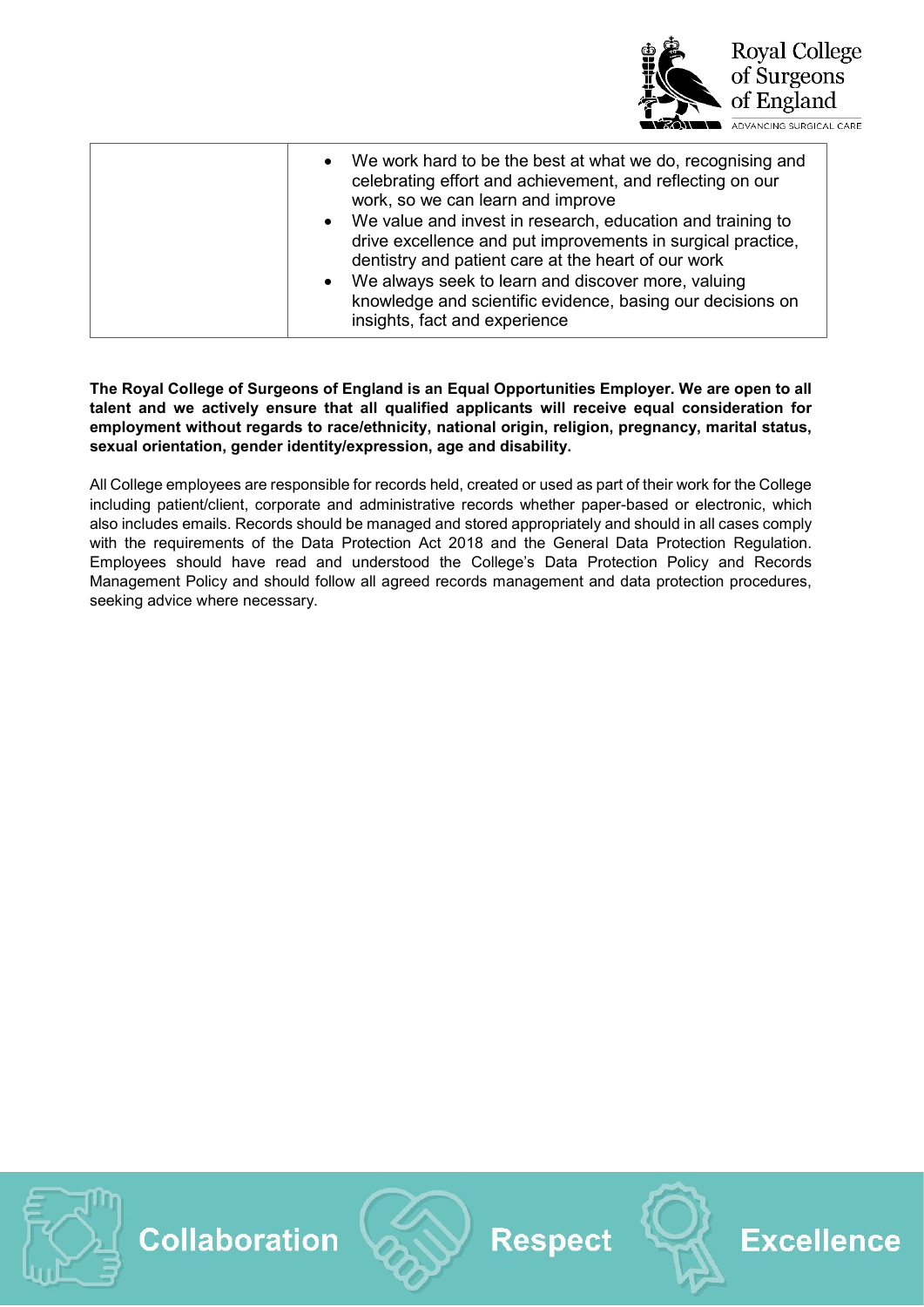

| We work hard to be the best at what we do, recognising and<br>$\bullet$<br>celebrating effort and achievement, and reflecting on our<br>work, so we can learn and improve<br>We value and invest in research, education and training to<br>$\bullet$<br>drive excellence and put improvements in surgical practice, |
|---------------------------------------------------------------------------------------------------------------------------------------------------------------------------------------------------------------------------------------------------------------------------------------------------------------------|
| dentistry and patient care at the heart of our work                                                                                                                                                                                                                                                                 |
| We always seek to learn and discover more, valuing<br>$\bullet$                                                                                                                                                                                                                                                     |
| knowledge and scientific evidence, basing our decisions on                                                                                                                                                                                                                                                          |
| insights, fact and experience                                                                                                                                                                                                                                                                                       |

**The Royal College of Surgeons of England is an Equal Opportunities Employer. We are open to all talent and we actively ensure that all qualified applicants will receive equal consideration for employment without regards to race/ethnicity, national origin, religion, pregnancy, marital status, sexual orientation, gender identity/expression, age and disability.** 

All College employees are responsible for records held, created or used as part of their work for the College including patient/client, corporate and administrative records whether paper-based or electronic, which also includes emails. Records should be managed and stored appropriately and should in all cases comply with the requirements of the Data Protection Act 2018 and the General Data Protection Regulation. Employees should have read and understood the College's Data Protection Policy and Records Management Policy and should follow all agreed records management and data protection procedures, seeking advice where necessary.





**Respect** 



**Excellence**